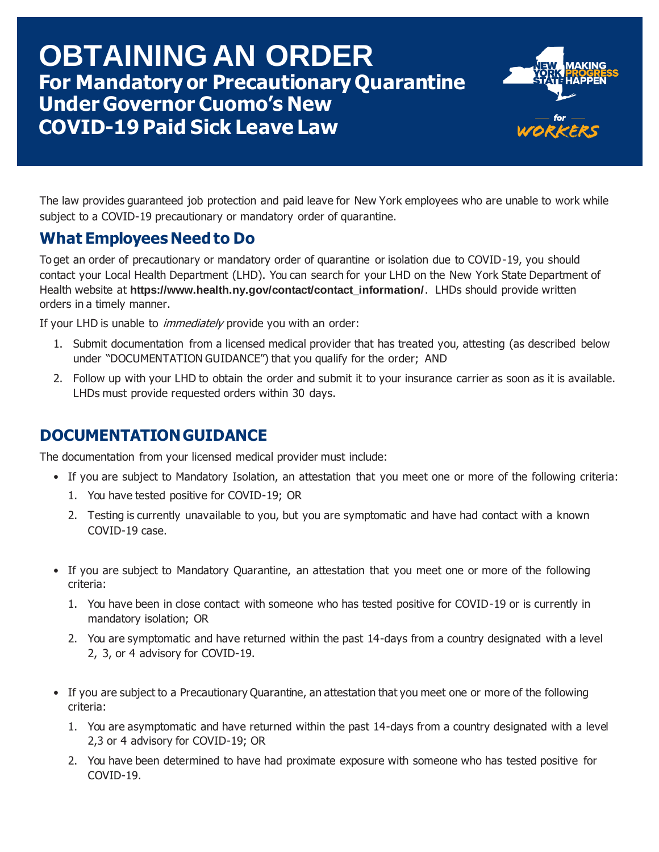# **For Mandatory or Precautionary Quarantine Under Governor Cuomo's New COVID-19 Paid Sick Leave Law OBTAINING AN ORDER**



The law provides guaranteed job protection and paid leave for New York employees who are unable to work while subject to a COVID-19 precautionary or mandatory order of quarantine.

## **What Employees Need to Do**

To get an order of precautionary or mandatory order of quarantine or isolation due to COVID-19, you should contact your Local Health Department (LHD). You can search for your LHD on the New York State Department of Health website at [https://www.health.ny.gov/contact/contact\\_information/](https://www.health.ny.gov/contact/contact_information/). LHDs should provide written orders in a timely manner.

If your LHD is unable to *immediately* provide you with an order:

- 1. Submit documentation from a licensed medical provider that has treated you, attesting (as described below under "DOCUMENTATION GUIDANCE") that you qualify for the order; AND
- 2. Follow up with your LHD to obtain the order and submit it to your insurance carrier as soon as it is available. LHDs must provide requested orders within 30 days.

### **DOCUMENTATION GUIDANCE**

The documentation from your licensed medical provider must include:

- If you are subject to Mandatory Isolation, an attestation that you meet one or more of the following criteria:
	- 1. You have tested positive for COVID-19; OR
	- 2. Testing is currently unavailable to you, but you are symptomatic and have had contact with a known COVID-19 case.
- If you are subject to Mandatory Quarantine, an attestation that you meet one or more of the following criteria:
	- 1. You have been in close contact with someone who has tested positive for COVID-19 or is currently in mandatory isolation; OR
	- 2. You are symptomatic and have returned within the past 14-days from a country designated with a level 2, 3, or 4 advisory for COVID-19.
- If you are subject to a Precautionary Quarantine, an attestation that you meet one or more of the following criteria:
	- 1. You are asymptomatic and have returned within the past 14-days from a country designated with a level 2,3 or 4 advisory for COVID-19; OR
	- 2. You have been determined to have had proximate exposure with someone who has tested positive for COVID-19.